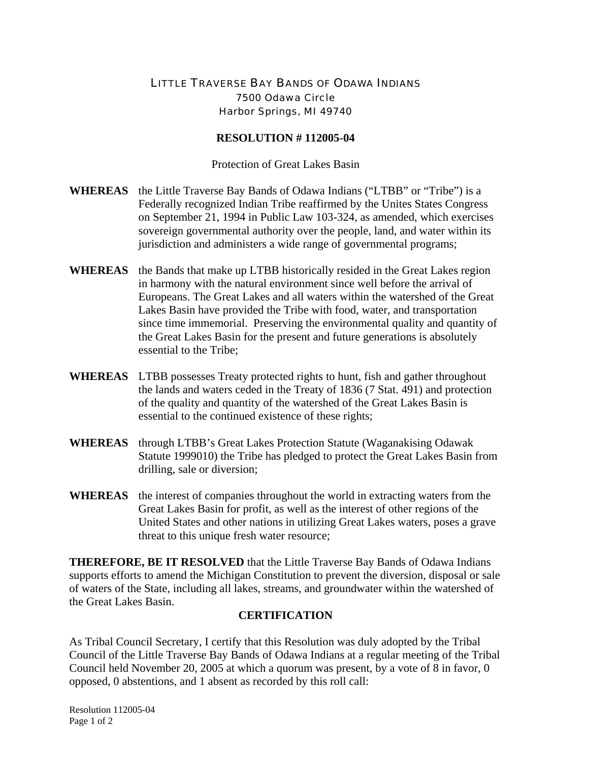## LITTLE TRAVERSE BAY BANDS OF ODAWA INDIANS 7500 Odawa Circle Harbor Springs, MI 49740

## **RESOLUTION # 112005-04**

Protection of Great Lakes Basin

- **WHEREAS** the Little Traverse Bay Bands of Odawa Indians ("LTBB" or "Tribe") is a Federally recognized Indian Tribe reaffirmed by the Unites States Congress on September 21, 1994 in Public Law 103-324, as amended, which exercises sovereign governmental authority over the people, land, and water within its jurisdiction and administers a wide range of governmental programs;
- **WHEREAS** the Bands that make up LTBB historically resided in the Great Lakes region in harmony with the natural environment since well before the arrival of Europeans. The Great Lakes and all waters within the watershed of the Great Lakes Basin have provided the Tribe with food, water, and transportation since time immemorial. Preserving the environmental quality and quantity of the Great Lakes Basin for the present and future generations is absolutely essential to the Tribe;
- **WHEREAS** LTBB possesses Treaty protected rights to hunt, fish and gather throughout the lands and waters ceded in the Treaty of 1836 (7 Stat. 491) and protection of the quality and quantity of the watershed of the Great Lakes Basin is essential to the continued existence of these rights;
- **WHEREAS** through LTBB's Great Lakes Protection Statute (Waganakising Odawak Statute 1999010) the Tribe has pledged to protect the Great Lakes Basin from drilling, sale or diversion;
- **WHEREAS** the interest of companies throughout the world in extracting waters from the Great Lakes Basin for profit, as well as the interest of other regions of the United States and other nations in utilizing Great Lakes waters, poses a grave threat to this unique fresh water resource;

**THEREFORE, BE IT RESOLVED** that the Little Traverse Bay Bands of Odawa Indians supports efforts to amend the Michigan Constitution to prevent the diversion, disposal or sale of waters of the State, including all lakes, streams, and groundwater within the watershed of the Great Lakes Basin.

## **CERTIFICATION**

As Tribal Council Secretary, I certify that this Resolution was duly adopted by the Tribal Council of the Little Traverse Bay Bands of Odawa Indians at a regular meeting of the Tribal Council held November 20, 2005 at which a quorum was present, by a vote of 8 in favor, 0 opposed, 0 abstentions, and 1 absent as recorded by this roll call:

Resolution 112005-04 Page 1 of 2